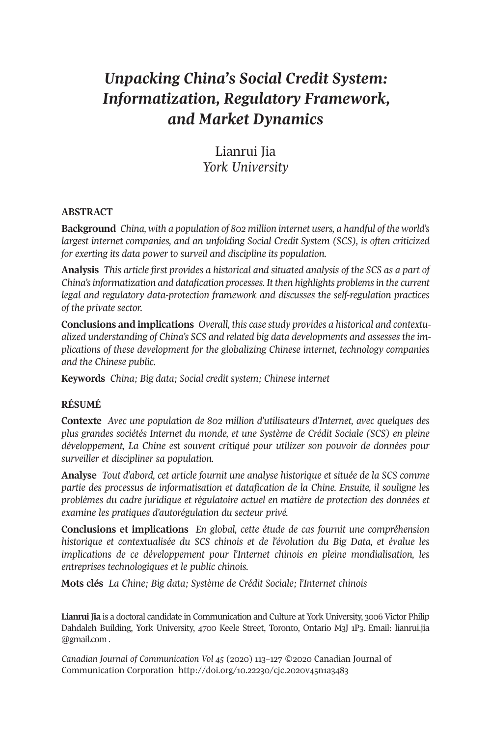# *Unpacking China's Social Credit System: Informatization, Regulatory Framework, and Market Dynamics*

# Lianrui Jia *York University*

#### **ABSTRACT**

**Background** *China, with a population of 802 million internet users, a handful of the world's largest internet companies, and an unfolding Social Credit System (SCS), is often criticized for exerting its data power to surveil and discipline its population.*

**Analysis** *This article first provides a historical and situated analysis of the SCS as a part of China'sinformatization and datafication processes. It then highlights problemsin the current legal and regulatory data-protection framework and discusses the self-regulation practices of the private sector.*

**Conclusions and implications** *Overall, this case study provides a historical and contextualized understanding of China's SCS and related big data developments and assesses the implications of these development for the globalizing Chinese internet, technology companies and the Chinese public.*

**Keywords** *China; Big data; Social credit system; Chinese internet*

#### **RÉSUMÉ**

**Contexte** *Avec une population de 802 million d'utilisateurs d'Internet, avec quelques des plus grandes sociétés Internet du monde, et une Système de Crédit Sociale (SCS) en pleine développement, La Chine est souvent critiqué pour utilizer son pouvoir de données pour surveiller et discipliner sa population.*

**Analyse** *Tout d'abord, cet article fournit une analyse historique et située de la SCS comme partie des processus de informatisation et datafication de la Chine. Ensuite, il souligne les problèmes du cadre juridique et régulatoire actuel en matière de protection des données et examine les pratiques d'autorégulation du secteur privé.*

**Conclusions et implications** *En global, cette étude de cas fournit une compréhension historique et contextualisée du SCS chinois et de l'évolution du Big Data, et évalue les implications de ce développement pour l'Internet chinois en pleine mondialisation, les entreprises technologiques et le public chinois.*

**Mots clés** *La Chine; Big data; Système de Crédit Sociale; l'Internet chinois*

**Lianrui Jia** is a doctoral candidate in Communication and Culture at York University, 3006 Victor Philip Dahdaleh Building, York University, 4700 Keele Street, Toronto, Ontario M3J 1P3. Email: [lianrui.jia](mailto:lianrui.jia@gmail.com) [@gmail.com](mailto:lianrui.jia@gmail.com) .

*Canadian Journal of [Communication](http://www.cjc-online.ca) Vol 45* (2020) 113–127 ©2020 Canadian Journal of Communication Corporation <http://doi.org/10.22230/cjc.2020v45n1a3483>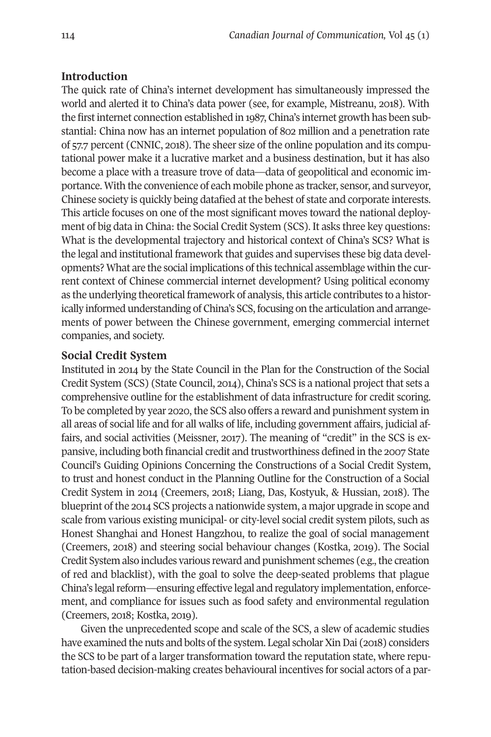#### **Introduction**

The quick rate of China's internet development has simultaneously impressed the world and alerted it to China's data power (see, for example, Mistreanu, 2018). With the firstinternet connection established in 1987, China's internet growth has been substantial: China now has an internet population of 802 million and a penetration rate of 57.7 percent (CNNIC, 2018). The sheer size of the online population and its computational power make it a lucrative market and a business destination, but it has also become a place with a treasure trove of data—data of geopolitical and economic importance. With the convenience of each mobile phone as tracker, sensor, and surveyor, Chinese society is quickly being datafied at the behest of state and corporate interests. This article focuses on one of the most significant moves toward the national deployment of big data in China: the Social Credit System (SCS). It asks three key questions: What is the developmental trajectory and historical context of China's SCS? What is the legal and institutional framework that guides and supervises these big data developments? What are the social implications ofthis technical assemblage within the current context of Chinese commercial internet development? Using political economy as the underlying theoretical framework of analysis, this article contributes to a historically informed understanding of China's SCS, focusing on the articulation and arrangements of power between the Chinese government, emerging commercial internet companies, and society.

#### **Social Credit System**

Instituted in 2014 by the State Council in the Plan for the Construction of the Social Credit System (SCS) (State Council, 2014), China's SCS is a national project that sets a comprehensive outline for the establishment of data infrastructure for credit scoring. To be completed by year 2020, the SCS also offers a reward and punishment system in all areas of social life and for all walks of life, including government affairs, judicial affairs, and social activities (Meissner, 2017). The meaning of "credit" in the SCS is expansive, including both financial credit and trustworthiness defined in the 2007 State Council's Guiding Opinions Concerning the Constructions of a Social Credit System, to trust and honest conduct in the Planning Outline for the Construction of a Social Credit System in 2014 (Creemers, 2018; Liang, Das, Kostyuk, & Hussian, 2018). The blueprint of the 2014 SCS projects a nationwide system, a major upgrade in scope and scale from various existing municipal- or city-level social credit system pilots, such as Honest Shanghai and Honest Hangzhou, to realize the goal of social management (Creemers, 2018) and steering social behaviour changes (Kostka, 2019). The Social Credit System also includes various reward and punishment schemes (e.g., the creation of red and blacklist), with the goal to solve the deep-seated problems that plague China's legal reform—ensuring effective legal and regulatory implementation, enforcement, and compliance for issues such as food safety and environmental regulation (Creemers, 2018; Kostka, 2019).

Given the unprecedented scope and scale of the SCS, a slew of academic studies have examined the nuts and bolts of the system. Legal scholar Xin Dai (2018) considers the SCS to be part of a larger transformation toward the reputation state, where reputation-based decision-making creates behavioural incentives for social actors of a par-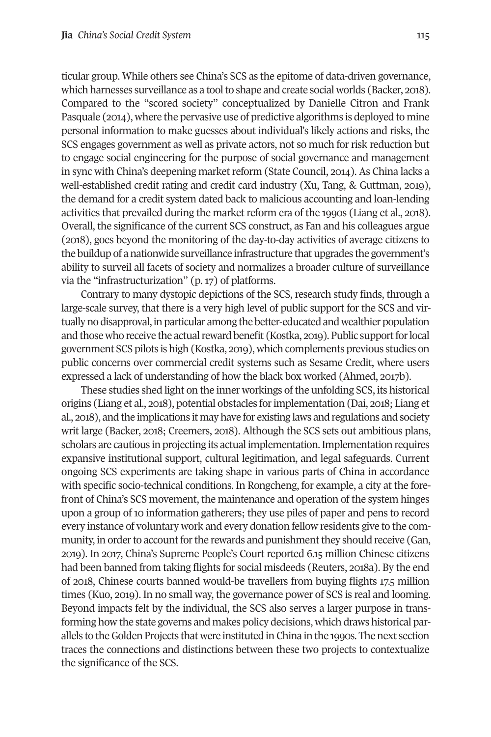ticular group. While others see China's SCS as the epitome of data-driven governance, which harnesses surveillance as a tool to shape and create social worlds (Backer, 2018). Compared to the "scored society" conceptualized by Danielle Citron and Frank Pasquale (2014), where the pervasive use of predictive algorithms is deployed to mine personal information to make guesses about individual's likely actions and risks, the SCS engages government as well as private actors, not so much for risk reduction but to engage social engineering for the purpose of social governance and management in sync with China's deepening market reform (State Council, 2014). As China lacks a well-established credit rating and credit card industry (Xu, Tang, & Guttman, 2019), the demand for a credit system dated back to malicious accounting and loan-lending activities that prevailed during the market reform era of the 1990s (Liang et al., 2018). Overall, the significance of the current SCS construct, as Fan and his colleagues argue (2018), goes beyond the monitoring of the day-to-day activities of average citizens to the buildup of a nationwide surveillance infrastructure that upgrades the government's ability to surveil all facets of society and normalizes a broader culture of surveillance via the "infrastructurization" (p. 17) of platforms.

Contrary to many dystopic depictions of the SCS, research study finds, through a large-scale survey, that there is a very high level of public support for the SCS and virtually no disapproval, in particular among the better-educated andwealthier population and those who receive the actual reward benefit (Kostka, 2019). Public support for local government SCS pilots is high (Kostka, 2019), which complements previous studies on public concerns over commercial credit systems such as Sesame Credit, where users expressed a lack of understanding of how the black box worked (Ahmed, 2017b).

These studies shed light on the inner workings of the unfolding SCS, its historical origins (Liang et al., 2018), potential obstacles forimplementation (Dai, 2018; Liang et al., 2018), and the implications it may have for existing laws and regulations and society writ large (Backer, 2018; Creemers, 2018). Although the SCS sets out ambitious plans, scholars are cautious in projecting its actual implementation.Implementation requires expansive institutional support, cultural legitimation, and legal safeguards. Current ongoing SCS experiments are taking shape in various parts of China in accordance with specific socio-technical conditions. In Rongcheng, for example, a city at the forefront of China's SCS movement, the maintenance and operation of the system hinges upon a group of 10 information gatherers; they use piles of paper and pens to record every instance of voluntary work and every donation fellow residents give to the community, in order to account for the rewards and punishment they should receive (Gan, 2019). In 2017, China's Supreme People's Court reported 6.15 million Chinese citizens had been banned from taking flights for social misdeeds (Reuters, 2018a). By the end of 2018, Chinese courts banned would-be travellers from buying flights 17.5 million times (Kuo, 2019). In no small way, the governance power of SCS is real and looming. Beyond impacts felt by the individual, the SCS also serves a larger purpose in transforming how the state governs and makes policy decisions, which draws historical parallels to theGolden Projects that were instituted in China in the 1990s. The next section traces the connections and distinctions between these two projects to contextualize the significance of the SCS.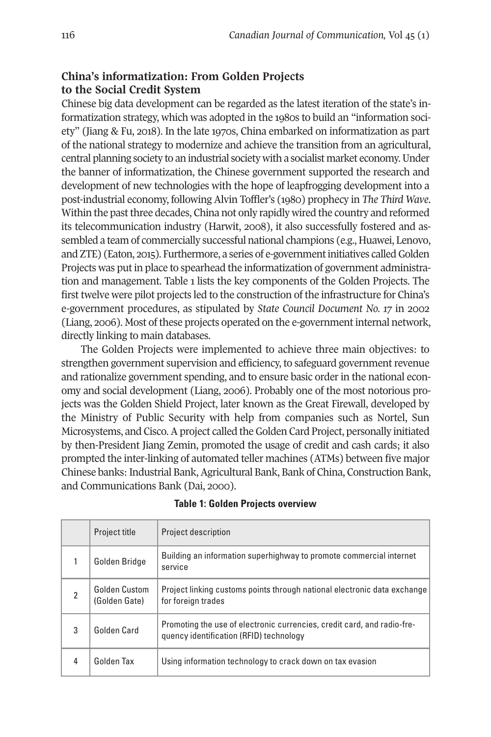# **China's informatization: From Golden Projects to the Social Credit System**

Chinese big data development can be regarded as the latest iteration of the state's informatization strategy, which was adopted in the 1980s to build an "information society" (Jiang & Fu, 2018). In the late 1970s, China embarked on informatization as part of the national strategy to modernize and achieve the transition from an agricultural, central planning society to an industrial society with a socialist market economy.Under the banner of informatization, the Chinese government supported the research and development of new technologies with the hope of leapfrogging development into a post-industrial economy, following Alvin Toffler's (1980) prophecy in *The Third Wave*. Within the past three decades, China not only rapidly wired the country and reformed its telecommunication industry (Harwit, 2008), it also successfully fostered and assembled a team of commercially successful national champions (e.g., Huawei, Lenovo, and ZTE) (Eaton, 2015). Furthermore, a series of e-government initiatives called Golden Projects was put in place to spearhead the informatization of government administration and management. Table 1 lists the key components of the Golden Projects. The first twelve were pilot projects led to the construction of the infrastructure for China's e-government procedures, as stipulated by *State Council Document No. 17* in 2002 (Liang, 2006). Most of these projects operated on the e-government internal network, directly linking to main databases.

The Golden Projects were implemented to achieve three main objectives: to strengthen government supervision and efficiency, to safeguard government revenue and rationalize government spending, and to ensure basic order in the national economy and social development (Liang, 2006). Probably one of the most notorious projects was the Golden Shield Project, later known as the Great Firewall, developed by the Ministry of Public Security with help from companies such as Nortel, Sun Microsystems, and Cisco.Aproject called theGolden Card Project, personally initiated by then-President Jiang Zemin, promoted the usage of credit and cash cards; it also prompted the inter-linking of automated teller machines (ATMs) between five major Chinese banks: Industrial Bank, Agricultural Bank, Bank of China, Construction Bank, and Communications Bank (Dai, 2000).

|                | Project title                  | <b>Project description</b>                                                                                         |  |
|----------------|--------------------------------|--------------------------------------------------------------------------------------------------------------------|--|
|                | Golden Bridge                  | Building an information superhighway to promote commercial internet<br>service                                     |  |
| $\mathfrak{p}$ | Golden Custom<br>(Golden Gate) | Project linking customs points through national electronic data exchange<br>for foreign trades                     |  |
| 3              | Golden Card                    | Promoting the use of electronic currencies, credit card, and radio-fre-<br>quency identification (RFID) technology |  |
| 4              | Golden Tax                     | Using information technology to crack down on tax evasion                                                          |  |

#### **Table 1: Golden Projects overview**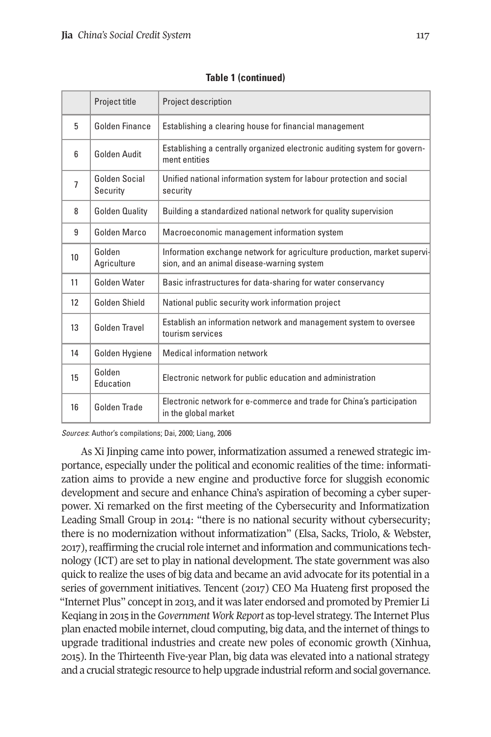|                 | Project title             | <b>Project description</b>                                                                                             |  |
|-----------------|---------------------------|------------------------------------------------------------------------------------------------------------------------|--|
| 5               | Golden Finance            | Establishing a clearing house for financial management                                                                 |  |
| $6\overline{6}$ | Golden Audit              | Establishing a centrally organized electronic auditing system for govern-<br>ment entities                             |  |
| 7               | Golden Social<br>Security | Unified national information system for labour protection and social<br>security                                       |  |
| 8               | <b>Golden Quality</b>     | Building a standardized national network for quality supervision                                                       |  |
| 9               | Golden Marco              | Macroeconomic management information system                                                                            |  |
| 10              | Golden<br>Agriculture     | Information exchange network for agriculture production, market supervi-<br>sion, and an animal disease-warning system |  |
| 11              | <b>Golden Water</b>       | Basic infrastructures for data-sharing for water conservancy                                                           |  |
| 12              | Golden Shield             | National public security work information project                                                                      |  |
| 13              | Golden Travel             | Establish an information network and management system to oversee<br>tourism services                                  |  |
| 14              | Golden Hygiene            | Medical information network                                                                                            |  |
| 15              | Golden<br>Education       | Electronic network for public education and administration                                                             |  |
| 16              | Golden Trade              | Electronic network for e-commerce and trade for China's participation<br>in the global market                          |  |

#### **Table 1 (continued)**

Sources: Author's compilations; Dai, 2000; Liang, 2006

As Xi Jinping came into power, informatization assumed a renewed strategic importance, especially under the political and economic realities of the time: informatization aims to provide a new engine and productive force for sluggish economic development and secure and enhance China's aspiration of becoming a cyber superpower. Xi remarked on the first meeting of the Cybersecurity and Informatization Leading Small Group in 2014: "there is no national security without cybersecurity; there is no modernization without informatization" (Elsa, Sacks, Triolo, & Webster, 2017), reaffirming the crucial role internet and information and communications technology (ICT) are set to play in national development. The state government was also quick to realize the uses of big data and became an avid advocate for its potential in a series of government initiatives. Tencent (2017) CEO Ma Huateng first proposed the "Internet Plus" conceptin 2013, and it was later endorsed and promoted by Premier Li Keqiang in 2015 in the*Government Work Report* as top-level strategy. The Internet Plus plan enacted mobile internet, cloud computing, big data, and the internet of things to upgrade traditional industries and create new poles of economic growth (Xinhua, 2015). In the Thirteenth Five-year Plan, big data was elevated into a national strategy and a crucial strategic resource to help upgrade industrial reform and social governance.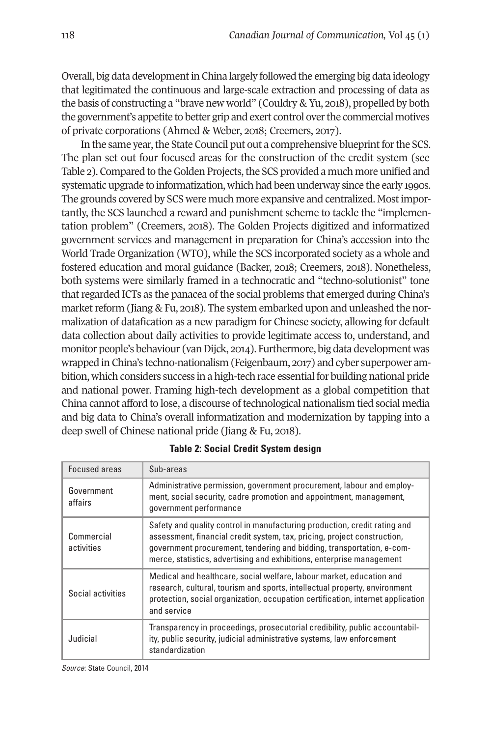Overall, big data developmentin China largely followed the emerging big data ideology that legitimated the continuous and large-scale extraction and processing of data as the basis of constructing a "brave new world" (Couldry & Yu, 2018), propelled by both the government's appetite to better grip and exert control over the commercial motives of private corporations (Ahmed & Weber, 2018; Creemers, 2017).

In the same year, the State Council put out a comprehensive blueprint for the SCS. The plan set out four focused areas for the construction of the credit system (see Table 2). Compared to the Golden Projects, the SCS provided a much more unified and systematic upgrade to informatization, which had been underway since the early 1990s. The grounds covered by SCS were much more expansive and centralized. Mostimportantly, the SCS launched a reward and punishment scheme to tackle the "implementation problem" (Creemers, 2018). The Golden Projects digitized and informatized government services and management in preparation for China's accession into the World Trade Organization (WTO), while the SCS incorporated society as a whole and fostered education and moral guidance (Backer, 2018; Creemers, 2018). Nonetheless, both systems were similarly framed in a technocratic and "techno-solutionist" tone that regarded ICTs as the panacea of the social problems that emerged during China's market reform (Jiang & Fu, 2018). The system embarked upon and unleashed the normalization of datafication as a new paradigm for Chinese society, allowing for default data collection about daily activities to provide legitimate access to, understand, and monitor people's behaviour (van Dijck, 2014). Furthermore, big data development was wrapped in China's techno-nationalism (Feigenbaum, 2017) and cyber superpower ambition, which considers success in a high-tech race essential for building national pride and national power. Framing high-tech development as a global competition that China cannot afford to lose, a discourse of technological nationalism tied social media and big data to China's overall informatization and modernization by tapping into a deep swell of Chinese national pride (Jiang & Fu, 2018).

| <b>Focused areas</b>     | Sub-areas                                                                                                                                                                                                                                                                                               |
|--------------------------|---------------------------------------------------------------------------------------------------------------------------------------------------------------------------------------------------------------------------------------------------------------------------------------------------------|
| Government<br>affairs    | Administrative permission, government procurement, labour and employ-<br>ment, social security, cadre promotion and appointment, management,<br>government performance                                                                                                                                  |
| Commercial<br>activities | Safety and quality control in manufacturing production, credit rating and<br>assessment, financial credit system, tax, pricing, project construction,<br>government procurement, tendering and bidding, transportation, e-com-<br>merce, statistics, advertising and exhibitions, enterprise management |
| Social activities        | Medical and healthcare, social welfare, labour market, education and<br>research, cultural, tourism and sports, intellectual property, environment<br>protection, social organization, occupation certification, internet application<br>and service                                                    |
| Judicial                 | Transparency in proceedings, prosecutorial credibility, public accountabil-<br>ity, public security, judicial administrative systems, law enforcement<br>standardization                                                                                                                                |

#### **Table 2: Social Credit System design**

Source: State Council, 2014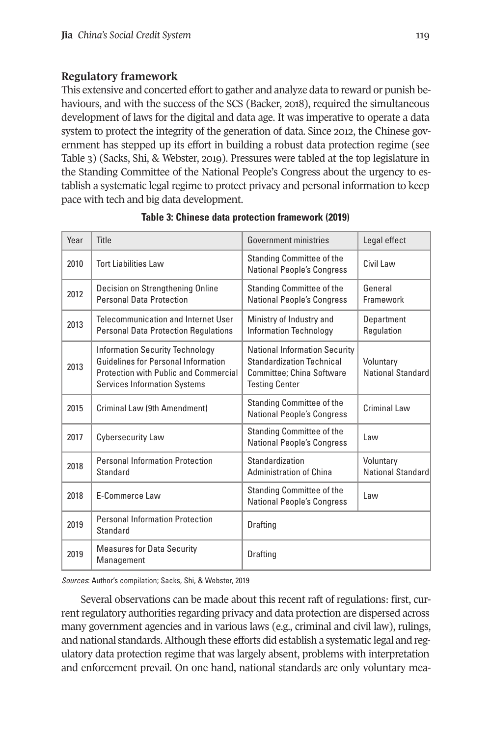# **Regulatory framework**

This extensive and concerted effort to gather and analyze data to reward or punish behaviours, and with the success of the SCS (Backer, 2018), required the simultaneous development of laws for the digital and data age. It was imperative to operate a data system to protect the integrity of the generation of data. Since 2012, the Chinese government has stepped up its effort in building a robust data protection regime (see Table 3) (Sacks, Shi, & Webster, 2019). Pressures were tabled at the top legislature in the Standing Committee of the National People's Congress about the urgency to establish a systematic legal regime to protect privacy and personal information to keep pace with tech and big data development.

| Year | Title                                                                                                                                                  | <b>Government ministries</b>                                                                                                   | Legal effect                   |
|------|--------------------------------------------------------------------------------------------------------------------------------------------------------|--------------------------------------------------------------------------------------------------------------------------------|--------------------------------|
| 2010 | <b>Tort Liabilities Law</b>                                                                                                                            | <b>Standing Committee of the</b><br><b>National People's Congress</b>                                                          | Civil Law                      |
| 2012 | Decision on Strengthening Online<br><b>Personal Data Protection</b>                                                                                    | <b>Standing Committee of the</b><br><b>National People's Congress</b>                                                          | General<br>Framework           |
| 2013 | Telecommunication and Internet User<br><b>Personal Data Protection Regulations</b>                                                                     | Ministry of Industry and<br><b>Information Technology</b>                                                                      | Department<br>Regulation       |
| 2013 | Information Security Technology<br>Guidelines for Personal Information<br>Protection with Public and Commercial<br><b>Services Information Systems</b> | <b>National Information Security</b><br><b>Standardization Technical</b><br>Committee; China Software<br><b>Testing Center</b> | Voluntary<br>National Standard |
| 2015 | Criminal Law (9th Amendment)                                                                                                                           | Standing Committee of the<br><b>National People's Congress</b>                                                                 | Criminal Law                   |
| 2017 | <b>Cybersecurity Law</b>                                                                                                                               | <b>Standing Committee of the</b><br><b>National People's Congress</b>                                                          | l aw                           |
| 2018 | <b>Personal Information Protection</b><br><b>Standard</b>                                                                                              | Standardization<br><b>Administration of China</b>                                                                              | Voluntary<br>National Standard |
| 2018 | E-Commerce Law                                                                                                                                         | <b>Standing Committee of the</b><br><b>National People's Congress</b>                                                          | Law                            |
| 2019 | <b>Personal Information Protection</b><br>Standard                                                                                                     | Drafting                                                                                                                       |                                |
| 2019 | <b>Measures for Data Security</b><br>Management                                                                                                        | <b>Drafting</b>                                                                                                                |                                |

#### **Table 3: Chinese data protection framework (2019)**

Sources: Author's compilation; Sacks, Shi, & Webster, 2019

Several observations can be made about this recent raft of regulations: first, currentregulatory authorities regarding privacy and data protection are dispersed across many government agencies and in various laws (e.g., criminal and civil law), rulings, and national standards.Although these efforts did establish a systematic legal and regulatory data protection regime that was largely absent, problems with interpretation and enforcement prevail. On one hand, national standards are only voluntary mea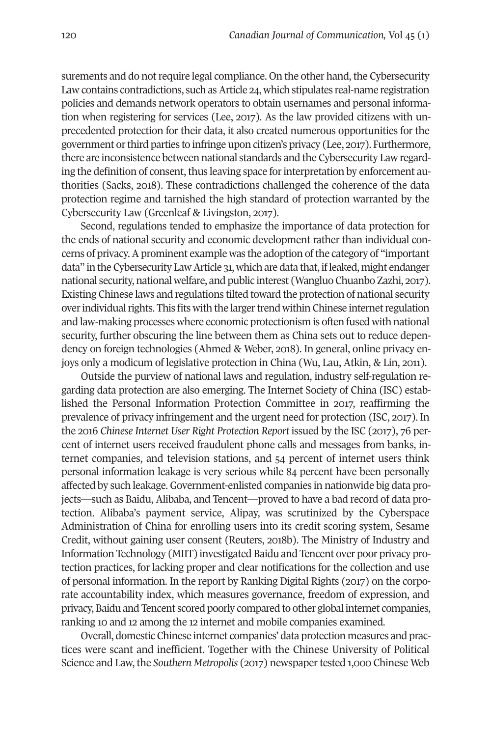surements and do not require legal compliance. On the other hand, the Cybersecurity Law contains contradictions, such as Article 24, which stipulates real-name registration policies and demands network operators to obtain usernames and personal information when registering for services (Lee, 2017). As the law provided citizens with unprecedented protection for their data, it also created numerous opportunities for the government orthird parties to infringe upon citizen's privacy (Lee, 2017). Furthermore, there are inconsistence between national standards and the Cybersecurity Law regarding the definition of consent, thus leaving space for interpretation by enforcement authorities (Sacks, 2018). These contradictions challenged the coherence of the data protection regime and tarnished the high standard of protection warranted by the Cybersecurity Law (Greenleaf & Livingston, 2017).

Second, regulations tended to emphasize the importance of data protection for the ends of national security and economic development rather than individual concerns of privacy.Aprominent example was the adoption ofthe category of "important data" in the Cybersecurity Law Article 31, which are data that, ifleaked, might endanger national security, national welfare, and public interest (Wangluo Chuanbo Zazhi, 2017). Existing Chinese laws and regulations tilted toward the protection of national security over individual rights. This fits with the larger trend within Chinese internet regulation and law-making processes where economic protectionism is often fused with national security, further obscuring the line between them as China sets out to reduce dependency on foreign technologies (Ahmed & Weber, 2018). In general, online privacy enjoys only a modicum of legislative protection in China (Wu, Lau, Atkin, & Lin, 2011).

Outside the purview of national laws and regulation, industry self-regulation regarding data protection are also emerging. The Internet Society of China (ISC) established the Personal Information Protection Committee in 2017, reaffirming the prevalence of privacy infringement and the urgent need for protection (ISC, 2017). In the 2016 *Chinese Internet User Right Protection Report* issued by the ISC (2017), 76 percent of internet users received fraudulent phone calls and messages from banks, internet companies, and television stations, and 54 percent of internet users think personal information leakage is very serious while 84 percent have been personally affected by such leakage. Government-enlisted companies in nationwide big data projects—such as Baidu, Alibaba, and Tencent—proved to have a bad record of data protection. Alibaba's payment service, Alipay, was scrutinized by the Cyberspace Administration of China for enrolling users into its credit scoring system, Sesame Credit, without gaining user consent (Reuters, 2018b). The Ministry of Industry and Information Technology (MIIT) investigated Baidu and Tencent over poor privacy protection practices, for lacking proper and clear notifications for the collection and use of personal information. In the report by Ranking Digital Rights (2017) on the corporate accountability index, which measures governance, freedom of expression, and privacy, Baidu and Tencent scored poorly compared to other global internet companies, ranking 10 and 12 among the 12 internet and mobile companies examined.

Overall, domestic Chinese internet companies' data protection measures and practices were scant and inefficient. Together with the Chinese University of Political Science and Law, the *Southern Metropolis* (2017) newspapertested 1,000 Chinese Web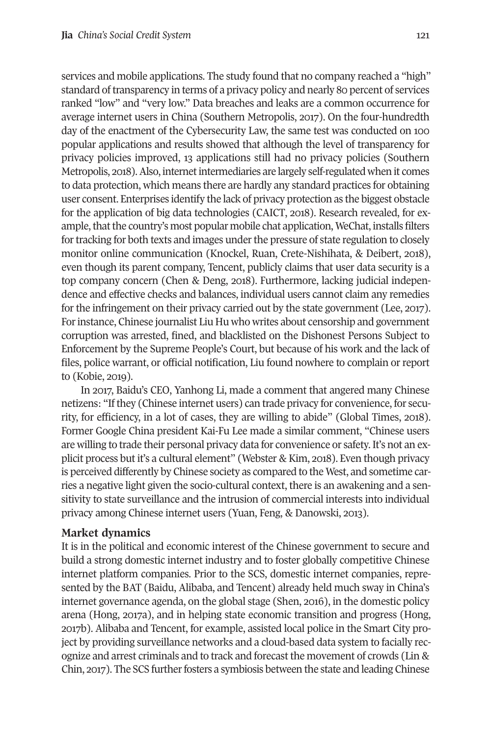services and mobile applications. The study found that no company reached a "high" standard of transparency in terms of a privacy policy and nearly 80 percent of services ranked "low" and "very low." Data breaches and leaks are a common occurrence for average internet users in China (Southern Metropolis, 2017). On the four-hundredth day of the enactment of the Cybersecurity Law, the same test was conducted on 100 popular applications and results showed that although the level of transparency for privacy policies improved, 13 applications still had no privacy policies (Southern Metropolis, 2018).Also, internetintermediaries are largely self-regulated when it comes to data protection, which means there are hardly any standard practices for obtaining user consent. Enterprises identify the lack of privacy protection as the biggest obstacle for the application of big data technologies (CAICT, 2018). Research revealed, for example, that the country's most popular mobile chat application, WeChat, installs filters for tracking for both texts and images under the pressure of state regulation to closely monitor online communication (Knockel, Ruan, Crete-Nishihata, & Deibert, 2018), even though its parent company, Tencent, publicly claims that user data security is a top company concern (Chen & Deng, 2018). Furthermore, lacking judicial independence and effective checks and balances, individual users cannot claim any remedies for the infringement on their privacy carried out by the state government (Lee, 2017). For instance, Chinese journalist Liu Hu who writes about censorship and government corruption was arrested, fined, and blacklisted on the Dishonest Persons Subject to Enforcement by the Supreme People's Court, but because of his work and the lack of files, police warrant, or official notification, Liu found nowhere to complain or report to (Kobie, 2019).

In 2017, Baidu's CEO, Yanhong Li, made a comment that angered many Chinese netizens: "Ifthey (Chinese internet users) can trade privacy for convenience, for security, for efficiency, in a lot of cases, they are willing to abide" (Global Times, 2018). Former Google China president Kai-Fu Lee made a similar comment, "Chinese users are willing to trade their personal privacy data for convenience or safety. It's not an explicit process but it's a cultural element" (Webster & Kim, 2018). Even though privacy is perceived differently by Chinese society as compared to the West, and sometime carries a negative light given the socio-cultural context, there is an awakening and a sensitivity to state surveillance and the intrusion of commercial interests into individual privacy among Chinese internet users (Yuan, Feng, & Danowski, 2013).

#### **Market dynamics**

It is in the political and economic interest of the Chinese government to secure and build a strong domestic internet industry and to foster globally competitive Chinese internet platform companies. Prior to the SCS, domestic internet companies, represented by the BAT (Baidu, Alibaba, and Tencent) already held much sway in China's internet governance agenda, on the global stage (Shen, 2016), in the domestic policy arena (Hong, 2017a), and in helping state economic transition and progress (Hong, 2017b). Alibaba and Tencent, for example, assisted local police in the Smart City project by providing surveillance networks and a cloud-based data system to facially recognize and arrest criminals and to track and forecast the movement of crowds (Lin & Chin, 2017). The SCS further fosters a symbiosis between the state and leading Chinese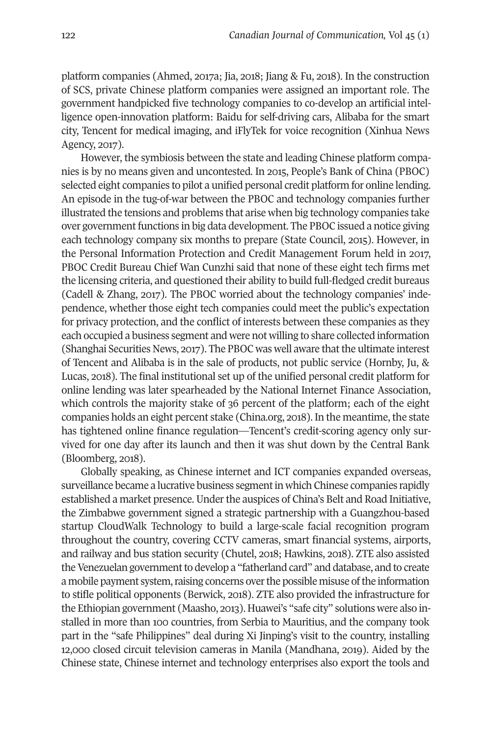platform companies (Ahmed, 2017a; Jia, 2018; Jiang & Fu, 2018). In the construction of SCS, private Chinese platform companies were assigned an important role. The government handpicked five technology companies to co-develop an artificial intelligence open-innovation platform: Baidu for self-driving cars, Alibaba for the smart city, Tencent for medical imaging, and iFlyTek for voice recognition (Xinhua News Agency, 2017).

However, the symbiosis between the state and leading Chinese platform companies is by no means given and uncontested. In 2015, People's Bank of China (PBOC) selected eight companies to pilot a unified personal credit platform for online lending. An episode in the tug-of-war between the PBOC and technology companies further illustrated the tensions and problems that arise when big technology companies take over government functions in big data development. The PBOC issued a notice giving each technology company six months to prepare (State Council, 2015). However, in the Personal Information Protection and Credit Management Forum held in 2017, PBOC Credit Bureau Chief Wan Cunzhi said that none of these eight tech firms met the licensing criteria, and questioned their ability to build full-fledged credit bureaus (Cadell & Zhang, 2017). The PBOC worried about the technology companies' independence, whether those eight tech companies could meet the public's expectation for privacy protection, and the conflict of interests between these companies as they each occupied a business segment and were not willing to share collected information (Shanghai Securities News, 2017). The PBOC was well aware that the ultimate interest of Tencent and Alibaba is in the sale of products, not public service (Hornby, Ju, & Lucas, 2018). The final institutional set up of the unified personal credit platform for online lending was later spearheaded by the National Internet Finance Association, which controls the majority stake of 36 percent of the platform; each of the eight companies holds an eight percent stake (China.org, 2018). In the meantime, the state has tightened online finance regulation—Tencent's credit-scoring agency only survived for one day after its launch and then it was shut down by the Central Bank (Bloomberg, 2018).

Globally speaking, as Chinese internet and ICT companies expanded overseas, surveillance became a lucrative business segment in which Chinese companies rapidly established a market presence. Under the auspices of China's Belt and Road Initiative, the Zimbabwe government signed a strategic partnership with a Guangzhou-based startup CloudWalk Technology to build a large-scale facial recognition program throughout the country, covering CCTV cameras, smart financial systems, airports, and railway and bus station security (Chutel, 2018; Hawkins, 2018). ZTE also assisted the Venezuelan government to develop a "fatherland card" and database, and to create a mobile payment system, raising concerns over the possible misuse of the information to stifle political opponents (Berwick, 2018). ZTE also provided the infrastructure for the Ethiopian government (Maasho, 2013). Huawei's "safe city" solutions were also installed in more than 100 countries, from Serbia to Mauritius, and the company took part in the "safe Philippines" deal during Xi Jinping's visit to the country, installing 12,000 closed circuit television cameras in Manila (Mandhana, 2019). Aided by the Chinese state, Chinese internet and technology enterprises also export the tools and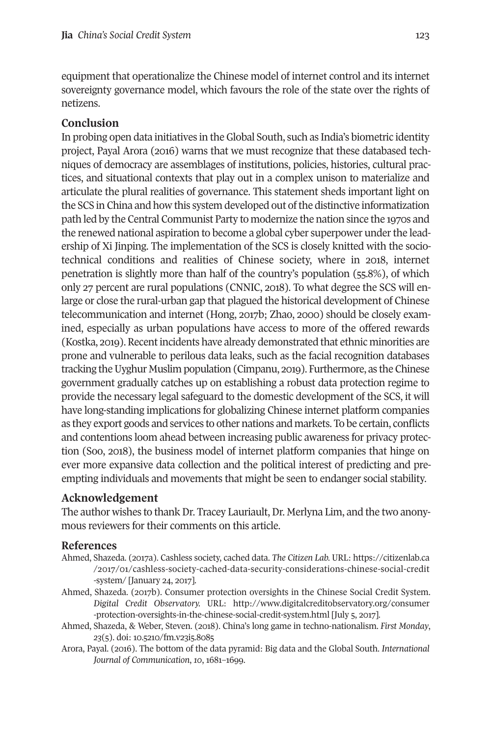equipment that operationalize the Chinese model of internet control and its internet sovereignty governance model, which favours the role of the state over the rights of netizens.

# **Conclusion**

In probing open data initiatives in the Global South, such as India's biometric identity project, Payal Arora (2016) warns that we must recognize that these databased techniques of democracy are assemblages of institutions, policies, histories, cultural practices, and situational contexts that play out in a complex unison to materialize and articulate the plural realities of governance. This statement sheds important light on the SCS in China and how this system developed out of the distinctive informatization path led by the Central Communist Party to modernize the nation since the 1970s and the renewed national aspiration to become a global cyber superpower under the leadership of Xi Jinping. The implementation of the SCS is closely knitted with the sociotechnical conditions and realities of Chinese society, where in 2018, internet penetration is slightly more than half of the country's population (55.8%), of which only 27 percent are rural populations (CNNIC, 2018). To what degree the SCS will enlarge or close the rural-urban gap that plagued the historical development of Chinese telecommunication and internet (Hong, 2017b; Zhao, 2000) should be closely examined, especially as urban populations have access to more of the offered rewards (Kostka, 2019). Recentincidents have already demonstrated that ethnic minorities are prone and vulnerable to perilous data leaks, such as the facial recognition databases tracking the Uyghur Muslim population (Cimpanu, 2019). Furthermore, as the Chinese government gradually catches up on establishing a robust data protection regime to provide the necessary legal safeguard to the domestic development of the SCS, it will have long-standing implications for globalizing Chinese internet platform companies as they export goods and services to other nations and markets. To be certain, conflicts and contentions loom ahead between increasing public awareness for privacy protection (Soo, 2018), the business model of internet platform companies that hinge on ever more expansive data collection and the political interest of predicting and preempting individuals and movements that might be seen to endanger social stability.

## **Acknowledgement**

The author wishes to thank Dr. Tracey Lauriault, Dr. Merlyna Lim, and the two anonymous reviewers for their comments on this article.

## **References**

- Ahmed, Shazeda. (2017a). Cashless society, cached data. *The Citizen Lab.* URL: [https://citizenlab.ca](https://citizenlab.ca/2017/01/cashless-society-cached-data-security-considerations-chinese-social-credit-system) [/2017/01/cashless-society-cached-data-security-considerations-chinese-social-credit](https://citizenlab.ca/2017/01/cashless-society-cached-data-security-considerations-chinese-social-credit-system) [-system/](https://citizenlab.ca/2017/01/cashless-society-cached-data-security-considerations-chinese-social-credit-system) [January 24, 2017].
- Ahmed, Shazeda. (2017b). Consumer protection oversights in the Chinese Social Credit System. *Digital Credit Observatory.* URL: [http://www.digitalcreditobservatory.org/consumer](http://www.digitalcreditobservatory.org/consumer-protection-oversights-in-the-chinese-social-credit-system.html) [-protection-oversights-in-the-chinese-social-credit-system.html](http://www.digitalcreditobservatory.org/consumer-protection-oversights-in-the-chinese-social-credit-system.html) [July 5, 2017].
- Ahmed, Shazeda, & Weber, Steven. (2018). China's long game in techno-nationalism. *First Monday*, *23*(5). doi: [10.5210/fm.v23i5.8085](http://dx.doi.org/10.5210/fm.v23i5.8085)
- Arora, Payal. (2016). The bottom of the data pyramid: Big data and the Global South. *International Journal of Communication*, *10*, 1681–1699.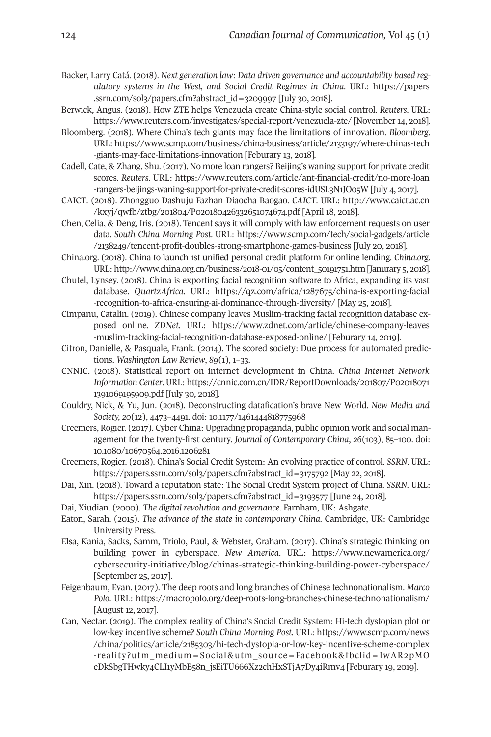- Backer, Larry Catá. (2018). *Next generation law: Data driven governance and accountability based regulatory systems in the West, and Social Credit Regimes in China.* URL: [https://papers](https://papers.ssrn.com/sol3/papers.cfm?abstract_id=3209997) [.ssrn.com/sol3/papers.cfm?abstract\\_id=3209997](https://papers.ssrn.com/sol3/papers.cfm?abstract_id=3209997) [July 30, 2018].
- Berwick, Angus. (2018). How ZTE helps Venezuela create China-style social control. *Reuters*. URL: [https://www.reuters.com/investigates/special-report/venezuela-zte/](https://www.reuters.com/investigates/special-report/venezuela-zte) [November 14, 2018].
- Bloomberg. (2018). Where China's tech giants may face the limitations of innovation. *Bloomberg*. URL: [https://www.scmp.com/business/china-business/article/2133197/where-chinas-tech](https://www.scmp.com/business/china-business/article/2133197/where-chinas-tech-giants-may-face-limitations-innovation) [-giants-may-face-limitations-innovation](https://www.scmp.com/business/china-business/article/2133197/where-chinas-tech-giants-may-face-limitations-innovation) [Feburary 13, 2018].
- Cadell, Cate, & Zhang, Shu. (2017). No more loan rangers? Beijing's waning support for private credit scores. *Reuters*. URL: [https://www.reuters.com/article/ant-financial-credit/no-more-loan](https://www.reuters.com/article/ant-financial-credit/no-more-loan-rangers-beijings-waning-support-for-private-credit-scores-idUSL3N1JO05W) [-rangers-beijings-waning-support-for-private-credit-scores-idUSL3N1JO05W](https://www.reuters.com/article/ant-financial-credit/no-more-loan-rangers-beijings-waning-support-for-private-credit-scores-idUSL3N1JO05W) [July 4, 2017].
- CAICT. (2018). Zhongguo Dashuju Fazhan Diaocha Baogao. *CAICT*. URL: [http://www.caict.ac.cn](http://www.caict.ac.cn/kxyj/qwfb/ztbg/201804/P020180426332651074674.pdf) [/kxyj/qwfb/ztbg/201804/P020180426332651074674.pdf](http://www.caict.ac.cn/kxyj/qwfb/ztbg/201804/P020180426332651074674.pdf) [April 18, 2018].
- Chen, Celia, & Deng, Iris. (2018). Tencent says it will comply with law enforcement requests on user data. *South China Morning Post*. URL: [https://www.scmp.com/tech/social-gadgets/article](https://www.scmp.com/tech/social-gadgets/article/2138249/tencent-profit-doubles-strong-smartphone-games-business) [/2138249/tencent-profit-doubles-strong-smartphone-games-business](https://www.scmp.com/tech/social-gadgets/article/2138249/tencent-profit-doubles-strong-smartphone-games-business) [July 20, 2018].
- China.org. (2018). China to launch 1st unified personal credit platform for online lending. *China.org*. URL: [http://www.china.org.cn/business/2018-01/05/content\\_50191751.htm](http://www.china.org.cn/business/2018-01/05/content_50191751.htm) [Janurary 5, 2018].
- Chutel, Lynsey. (2018). China is exporting facial recognition software to Africa, expanding its vast database. *QuartzAfrica*. URL: [https://qz.com/africa/1287675/china-is-exporting-facial](https://qz.com/africa/1287675/china-is-exporting-facial-recognition-to-africa-ensuring-ai-dominance-through-diversity/) [-recognition-to-africa-ensuring-ai-dominance-through-diversity/](https://qz.com/africa/1287675/china-is-exporting-facial-recognition-to-africa-ensuring-ai-dominance-through-diversity/) [May 25, 2018].
- Cimpanu, Catalin. (2019). Chinese company leaves Muslim-tracking facial recognition database exposed online. *ZDNet*. URL: [https://www.zdnet.com/article/chinese-company-leaves](https://www.zdnet.com/article/chinese-company-leaves-muslim-tracking-facial-recognition-database-exposed-online/) [-muslim-tracking-facial-recognition-database-exposed-online/](https://www.zdnet.com/article/chinese-company-leaves-muslim-tracking-facial-recognition-database-exposed-online/) [Feburary 14, 2019].
- Citron, Danielle, & Pasquale, Frank. (2014). The scored society: Due process for automated predictions. *Washington Law Review*, *89*(1), 1–33.
- CNNIC. (2018). Statistical report on internet development in China. *China Internet Network Information Center*. URL: [https://cnnic.com.cn/IDR/ReportDownloads/201807/P02018071](https://cnnic.com.cn/IDR/ReportDownloads/201807/P020180711391069195909.pdf) [1391069195909.pdf](https://cnnic.com.cn/IDR/ReportDownloads/201807/P020180711391069195909.pdf) [July 30, 2018].
- Couldry, Nick, & Yu, Jun. (2018). Deconstructing datafication's brave New World. *New Media and Society, 20*(12), 4473–4491. doi: [10.1177/1461444818775968](https://doi.org/10.1177/1461444818775968)
- Creemers, Rogier. (2017). Cyber China: Upgrading propaganda, public opinion work and social management for the twenty-first century. *Journal of Contemporary China*, *26*(103), 85–100. doi: [10.1080/10670564.2016.1206281](https://doi.org/10.1080/10670564.2016.1206281)
- Creemers, Rogier. (2018). China's Social Credit System: An evolving practice of control. *SSRN*. URL: [https://papers.ssrn.com/sol3/papers.cfm?abstract\\_id=3175792](https://papers.ssrn.com/sol3/papers.cfm?abstract_id=3175792) [May 22, 2018].
- Dai, Xin. (2018). Toward a reputation state: The Social Credit System project of China. *SSRN*. URL: [https://papers.ssrn.com/sol3/papers.cfm?abstract\\_id=3193577](https://papers.ssrn.com/sol3/papers.cfm?abstract_id=3193577) [June 24, 2018].
- Dai, Xiudian. (2000). *The digital revolution and governance*. Farnham, UK: Ashgate.
- Eaton, Sarah. (2015). *The advance of the state in contemporary China*. Cambridge, UK: Cambridge University Press.
- Elsa, Kania, Sacks, Samm, Triolo, Paul, & Webster, Graham. (2017). China's strategic thinking on building power in cyberspace. *New America*. URL: [https://www.newamerica.org/](https://www.newamerica.org/cybersecurity-initiative/blog/chinas-strategic-thinking-building-power-cyberspace/) [cybersecurity-initiative/blog/chinas-strategic-thinking-building-power-cyberspace/](https://www.newamerica.org/cybersecurity-initiative/blog/chinas-strategic-thinking-building-power-cyberspace/) [September 25, 2017].
- Feigenbaum, Evan. (2017). The deep roots and long branches of Chinese technonationalism. *Marco Polo*. URL: https://macropolo.org/deep-roots-long-branches-chinese-technonationalism/ [August 12, 2017].
- Gan, Nectar. (2019). The complex reality of China's Social Credit System: Hi-tech dystopian plot or low-key incentive scheme? *South China Morning Post*. URL: [https://www.scmp.com/news](https://www.scmp.com/news/china/politics/article/2185303/hi-tech-dystopia-or-low-key-incentive-scheme-complex-reality?utm_medium=Social&utm_source=Facebook&fbclid=IwAR2pMOeDkSbgTHwky4CLI1yMbB58n_jsEiTU666Xz2chHxSTjA7Dy4iRmv4) [/china/politics/article/2185303/hi-tech-dystopia-or-low-key-incentive-scheme-complex](https://www.scmp.com/news/china/politics/article/2185303/hi-tech-dystopia-or-low-key-incentive-scheme-complex-reality?utm_medium=Social&utm_source=Facebook&fbclid=IwAR2pMOeDkSbgTHwky4CLI1yMbB58n_jsEiTU666Xz2chHxSTjA7Dy4iRmv4) [-reality?utm\\_medium=Social&utm\\_source=Facebook&fbclid=IwAR2pMO](https://www.scmp.com/news/china/politics/article/2185303/hi-tech-dystopia-or-low-key-incentive-scheme-complex-reality?utm_medium=Social&utm_source=Facebook&fbclid=IwAR2pMOeDkSbgTHwky4CLI1yMbB58n_jsEiTU666Xz2chHxSTjA7Dy4iRmv4) [eDkSbgTHwky4CLI1yMbB58n\\_jsEiTU666Xz2chHxSTjA7Dy4iRmv4](https://www.scmp.com/news/china/politics/article/2185303/hi-tech-dystopia-or-low-key-incentive-scheme-complex-reality?utm_medium=Social&utm_source=Facebook&fbclid=IwAR2pMOeDkSbgTHwky4CLI1yMbB58n_jsEiTU666Xz2chHxSTjA7Dy4iRmv4) [Feburary 19, 2019].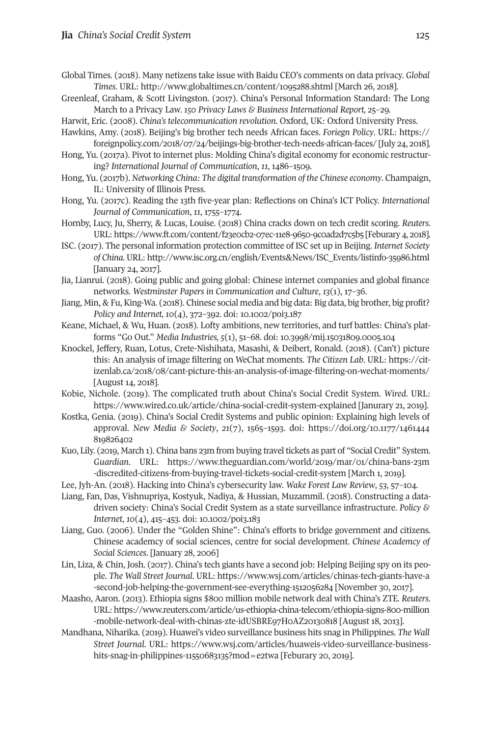- Global Times. (2018). Many netizens take issue with Baidu CEO's comments on data privacy. *Global Times*. URL: <http://www.globaltimes.cn/content/1095288.shtml> [March 26, 2018].
- Greenleaf, Graham, & Scott Livingston. (2017). China's Personal Information Standard: The Long March to a Privacy Law. *150 Privacy Laws & Business International Report,* 25–29*.*
- Harwit, Eric. (2008). *China's telecommunication revolution*. Oxford, UK: Oxford University Press. Hawkins, Amy. (2018). Beijing's big brother tech needs African faces. *Foriegn Policy*. URL: [https://](https://foreignpolicy.com/2018/07/24/beijings-big-brother-tech-needs-african-faces/)
- [foreignpolicy.com/2018/07/24/beijings-big-brother-tech-needs-african-faces/](https://foreignpolicy.com/2018/07/24/beijings-big-brother-tech-needs-african-faces/) [July 24, 2018]. Hong, Yu. (2017a). Pivot to internet plus: Molding China's digital economy for economic restructur-

ing? *International Journal of Communication*, *11*, 1486–1509.

- Hong, Yu. (2017b). *Networking China: The digital transformation of the Chinese economy*. Champaign, IL: University of Illinois Press.
- Hong, Yu. (2017c). Reading the 13th five-year plan: Reflections on China's ICT Policy. *International Journal of Communication*, *11*, 1755–1774.
- Hornby, Lucy, Ju, Sherry, & Lucas, Louise. (2018) China cracks down on tech credit scoring. *Reuters*. URL: <https://www.ft.com/content/f23e0cb2-07ec-11e8-9650-9c0ad2d7c5b5> [Feburary 4, 2018].
- ISC. (2017). The personal information protection committee of ISC set up in Beijing. *Internet Society of China*.URL: [http://www.isc.org.cn/english/Events&News/ISC\\_Events/listinfo-35986.html](http://www.isc.org.cn/english/Events&News/ISC_Events/listinfo-35986.html) [January 24, 2017].
- Jia, Lianrui. (2018). Going public and going global: Chinese internet companies and global finance networks. *Westminster Papers in Communication and Culture*, *13*(1), 17–36.
- Jiang, Min, & Fu, King-Wa. (2018). Chinese social media and big data: Big data, big brother, big profit? *Policy and Internet, 10*(4), 372–392. doi: [10.1002/poi3.187](https://doi.org/10.1002/poi3.187)
- Keane, Michael, & Wu, Huan. (2018). Lofty ambitions, new territories, and turf battles: China's platforms "Go Out." *Media Industries, 5*(1), 51–68. doi: [10.3998/mij.15031809.0005.104](http://doi.org/10.3998/mij.15031809.0005.104)
- Knockel, Jeffery, Ruan, Lotus, Crete-Nishihata, Masashi, & Deibert, Ronald. (2018). (Can't) picture this: An analysis of image filtering on WeChat moments. *The Citizen Lab*. URL: https://citizenlab.ca/2018/08/cant-picture-this-an-analysis-of-image-filtering-on-wechat-moments/ [August 14, 2018].
- Kobie, Nichole. (2019). The complicated truth about China's Social Credit System. *Wired*. URL: https://www.wired.co.uk/article/china-social-credit-system-explained [Janurary 21, 2019].
- Kostka, Genia. (2019). China's Social Credit Systems and public opinion: Explaining high levels of approval. *New Media & Society*, *21*(7), 1565–1593. doi: [https://doi.org/10.1177/1461444](https://doi.org/10.1177/1461444819826402) [819826402](https://doi.org/10.1177/1461444819826402)
- Kuo, Lily. (2019, March 1). China bans 23m from buying travel tickets as part of "Social Credit" System. *Guardian*. URL: [https://www.theguardian.com/world/2019/mar/01/china-bans-23m](https://www.theguardian.com/world/2019/mar/01/china-bans-23m-discredited-citizens-from-buying-travel-tickets-social-credit-system) [-discredited-citizens-from-buying-travel-tickets-social-credit-system](https://www.theguardian.com/world/2019/mar/01/china-bans-23m-discredited-citizens-from-buying-travel-tickets-social-credit-system) [March 1, 2019].
- Lee, Jyh-An. (2018). Hacking into China's cybersecurity law. *Wake Forest Law Review*, *53*, 57–104.
- Liang, Fan, Das, Vishnupriya, Kostyuk, Nadiya, & Hussian, Muzammil. (2018). Constructing a datadriven society: China's Social Credit System as a state surveillance infrastructure. *Policy & Internet*, *10*(4), 415–453. doi: [10.1002/poi3.183](https://doi.org/10.1002/poi3.183)
- Liang, Guo. (2006). Under the "Golden Shine": China's efforts to bridge government and citizens. Chinese academcy of social sciences, centre for social development. *Chinese Academcy of Social Sciences*. [January 28, 2006]
- Lin, Liza, & Chin, Josh. (2017). China's tech giants have a second job: Helping Beijing spy on its people. *The Wall Street Journal*. URL: [https://www.wsj.com/articles/chinas-tech-giants-have-a](https://www.wsj.com/articles/chinas-tech-giants-have-a-second-job-helping-the-government-see-everything-1512056284) [-second-job-helping-the-government-see-everything-1512056284](https://www.wsj.com/articles/chinas-tech-giants-have-a-second-job-helping-the-government-see-everything-1512056284) [November 30, 2017].
- Maasho, Aaron. (2013). Ethiopia signs \$800 million mobile network deal with China's ZTE. *Reuters*. URL: [https://www.reuters.com/article/us-ethiopia-china-telecom/ethiopia-signs-800-million](https://www.reuters.com/article/us-ethiopia-china-telecom/ethiopia-signs-800-million-mobile-network-deal-with-chinas-zte-idUSBRE97H0AZ20130818) [-mobile-network-deal-with-chinas-zte-idUSBRE97H0AZ20130818](https://www.reuters.com/article/us-ethiopia-china-telecom/ethiopia-signs-800-million-mobile-network-deal-with-chinas-zte-idUSBRE97H0AZ20130818) [August 18, 2013].
- Mandhana, Niharika. (2019). Huawei's video surveillance business hits snag in Philippines. *The Wall Street Journal*. URL: [https://www.wsj.com/articles/huaweis-video-surveillance-business](https://www.wsj.com/articles/huaweis-video-surveillance-business-hits-snag-in-philippines-11550683135?mod=e2twa)[hits-snag-in-philippines-11550683135?mod=e2twa](https://www.wsj.com/articles/huaweis-video-surveillance-business-hits-snag-in-philippines-11550683135?mod=e2twa) [Feburary 20, 2019].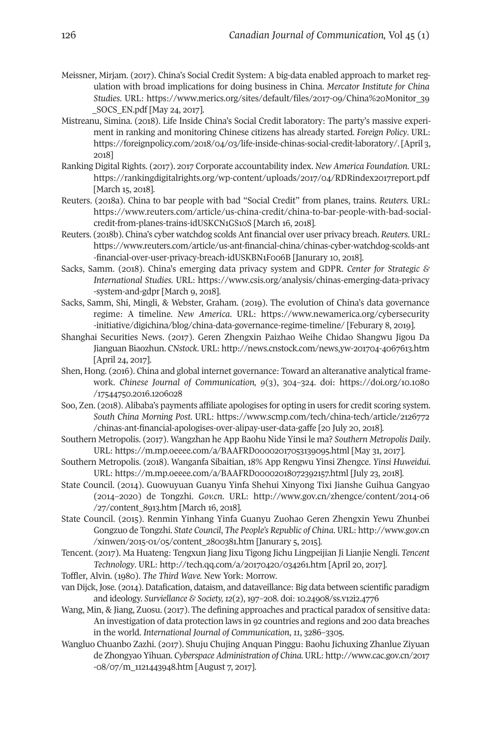- Meissner, Mirjam. (2017). China's Social Credit System: A big-data enabled approach to market regulation with broad implications for doing business in China. *Mercator Institute for China Studies*. URL: [https://www.merics.org/sites/default/files/2017-09/China%20Monitor\\_39](https://www.merics.org/sites/default/files/2017-09/China%20Monitor_39_SOCS_EN.pdf) [\\_SOCS\\_EN.pdf](https://www.merics.org/sites/default/files/2017-09/China%20Monitor_39_SOCS_EN.pdf) [May 24, 2017].
- Mistreanu, Simina. (2018). Life Inside China's Social Credit laboratory: The party's massive experiment in ranking and monitoring Chinese citizens has already started*. Foreign Policy*. URL: [https://foreignpolicy.com/2018/04/03/life-inside-chinas-social-credit-laboratory/.](https://foreignpolicy.com/2018/04/03/life-inside-chinas-social-credit-laboratory/) [April 3, 2018]
- Ranking Digital Rights. (2017). 2017 Corporate accountability index. *New America Foundation*. URL: <https://rankingdigitalrights.org/wp-content/uploads/2017/04/RDRindex2017report.pdf> [March 15, 2018].
- Reuters. (2018a). China to bar people with bad "Social Credit" from planes, trains. *Reuters.* URL: [https://www.reuters.com/article/us-china-credit/china-to-bar-people-with-bad-social](https://www.reuters.com/article/us-china-credit/china-to-bar-people-with-bad-social-credit-from-planes-trains-idUSKCN1GS10S)[credit-from-planes-trains-idUSKCN1GS10S](https://www.reuters.com/article/us-china-credit/china-to-bar-people-with-bad-social-credit-from-planes-trains-idUSKCN1GS10S) [March 16, 2018].
- Reuters. (2018b). China's cyber watchdog scolds Ant financial over user privacy breach. *Reuters*. URL: [https://www.reuters.com/article/us-ant-financial-china/chinas-cyber-watchdog-scolds-ant](https://www.reuters.com/article/us-ant-financial-china/chinas-cyber-watchdog-scolds-ant-financial-over-user-privacy-breach-idUSKBN1F006B) [-financial-over-user-privacy-breach-idUSKBN1F006B](https://www.reuters.com/article/us-ant-financial-china/chinas-cyber-watchdog-scolds-ant-financial-over-user-privacy-breach-idUSKBN1F006B) [Janurary 10, 2018].
- Sacks, Samm. (2018). China's emerging data privacy system and GDPR. *Center for Strategic & International Studies.* URL: [https://www.csis.org/analysis/chinas-emerging-data-privacy](https://www.csis.org/analysis/chinas-emerging-data-privacy-system-and-gdpr) [-system-and-gdpr](https://www.csis.org/analysis/chinas-emerging-data-privacy-system-and-gdpr) [March 9, 2018].
- Sacks, Samm, Shi, Mingli, & Webster, Graham. (2019). The evolution of China's data governance regime: A timeline. *New America*. URL: [https://www.newamerica.org/cybersecurity](https://www.newamerica.org/cybersecurity-initiative/digichina/blog/china-data-governance-regime-timeline/) [-initiative/digichina/blog/china-data-governance-regime-timeline/](https://www.newamerica.org/cybersecurity-initiative/digichina/blog/china-data-governance-regime-timeline/) [Feburary 8, 2019].
- Shanghai Securities News. (2017). Geren Zhengxin Paizhao Weihe Chidao Shangwu Jigou Da Jianguan Biaozhun. *CNstock*. URL: <http://news.cnstock.com/news,yw-201704-4067613.htm> [April 24, 2017].
- Shen, Hong. (2016). China and global internet governance: Toward an alteranative analytical framework. *Chinese Journal of Communication, 9*(3), 304–324. doi: [https://doi.org/10.1080](https://doi.org/10.1080/17544750.2016.1206028) [/17544750.2016.1206028](https://doi.org/10.1080/17544750.2016.1206028)
- Soo, Zen. (2018). Alibaba's payments affiliate apologises for opting in users for credit scoring system. *South China Morning Post*. URL: [https://www.scmp.com/tech/china-tech/article/2126772](https://www.scmp.com/tech/china-tech/article/2126772/chinas-ant-financial-apologises-over-alipay-user-data-gaffe) [/chinas-ant-financial-apologises-over-alipay-user-data-gaffe](https://www.scmp.com/tech/china-tech/article/2126772/chinas-ant-financial-apologises-over-alipay-user-data-gaffe) [20 July 20, 2018].
- Southern Metropolis. (2017). Wangzhan he App Baohu Nide Yinsi le ma? *Southern Metropolis Daily*. URL: <https://m.mp.oeeee.com/a/BAAFRD00002017053139095.html> [May 31, 2017].
- Southern Metropolis. (2018). Wanganfa Sibaitian, 18% App Rengwu Yinsi Zhengce. *Yinsi Huweidui*. URL: <https://m.mp.oeeee.com/a/BAAFRD00002018072392157.html> [July 23, 2018].
- State Council. (2014). Guowuyuan Guanyu Yinfa Shehui Xinyong Tixi Jianshe Guihua Gangyao (2014–2020) de Tongzhi. *Gov.cn*. URL: [http://www.gov.cn/zhengce/content/2014-06](http://www.gov.cn/zhengce/content/2014-06/27/content_8913.htm) [/27/content\\_8913.htm](http://www.gov.cn/zhengce/content/2014-06/27/content_8913.htm) [March 16, 2018].
- State Council. (2015). Renmin Yinhang Yinfa Guanyu Zuohao Geren Zhengxin Yewu Zhunbei Gongzuo de Tongzhi. *State Council*, *The People's Republic of China*. URL: [http://www.gov.cn](http://www.gov.cn/xinwen/2015-01/05/content_2800381.htm) [/xinwen/2015-01/05/content\\_2800381.htm](http://www.gov.cn/xinwen/2015-01/05/content_2800381.htm) [Janurary 5, 2015].
- Tencent. (2017). Ma Huateng: Tengxun Jiang Jixu Tigong Jichu Lingpeijian Ji Lianjie Nengli. *Tencent Technology*. URL: <http://tech.qq.com/a/20170420/034261.htm> [April 20, 2017].
- Toffler, Alvin. (1980). *The Third Wave.* New York: Morrow.
- van Dijck, Jose. (2014). Datafication, dataism, and dataveillance: Big data between scientific paradigm and ideology. *Surviellance & Society, 12*(2), 197–208. doi: [10.24908/ss.v12i2.4776](https://doi.org/10.24908/ss.v12i2.4776)
- Wang, Min, & Jiang, Zuosu. (2017). The defining approaches and practical paradox of sensitive data: An investigation of data protection laws in 92 countries and regions and 200 data breaches in the world. *International Journal of Communication*, *11*, 3286–3305.
- Wangluo Chuanbo Zazhi. (2017). Shuju Chujing Anquan Pinggu: Baohu Jichuxing Zhanlue Ziyuan de Zhongyao Yihuan. *Cyberspace Administration of China.* URL: [http://www.cac.gov.cn/2017](http://www.cac.gov.cn/2017-08/07/m_1121443948.htm) [-08/07/m\\_1121443948.htm](http://www.cac.gov.cn/2017-08/07/m_1121443948.htm) [August 7, 2017].